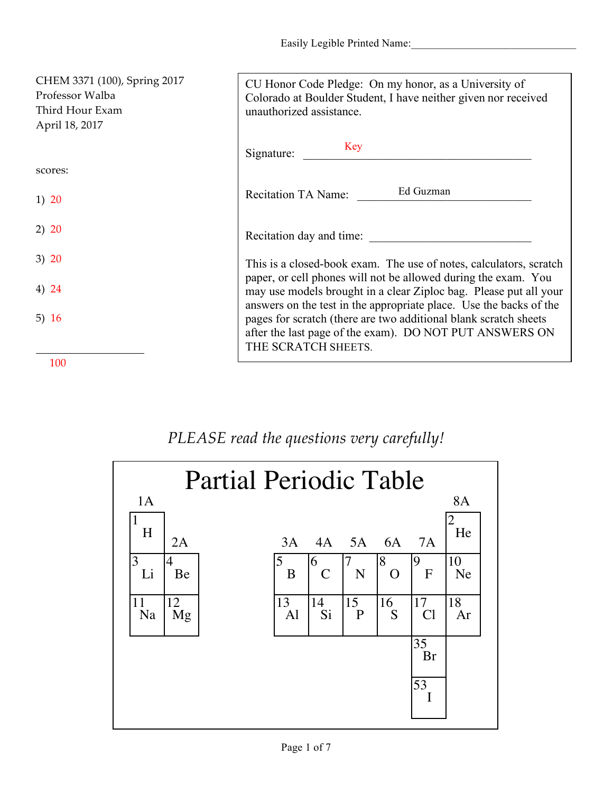Easily Legible Printed Name:

| CHEM 3371 (100), Spring 2017<br>Professor Walba<br>Third Hour Exam<br>April 18, 2017 | CU Honor Code Pledge: On my honor, as a University of<br>Colorado at Boulder Student, I have neither given nor received<br>unauthorized assistance.                                                                      |
|--------------------------------------------------------------------------------------|--------------------------------------------------------------------------------------------------------------------------------------------------------------------------------------------------------------------------|
|                                                                                      | Key<br>Signature:                                                                                                                                                                                                        |
| scores:                                                                              |                                                                                                                                                                                                                          |
| 1) 20                                                                                | Ed Guzman<br><b>Recitation TA Name:</b>                                                                                                                                                                                  |
| 2) 20                                                                                | Recitation day and time:                                                                                                                                                                                                 |
| 3) 20                                                                                | This is a closed-book exam. The use of notes, calculators, scratch                                                                                                                                                       |
| 4) 24                                                                                | paper, or cell phones will not be allowed during the exam. You<br>may use models brought in a clear Ziploc bag. Please put all your                                                                                      |
| 5) $16$                                                                              | answers on the test in the appropriate place. Use the backs of the<br>pages for scratch (there are two additional blank scratch sheets<br>after the last page of the exam). DO NOT PUT ANSWERS ON<br>THE SCRATCH SHEETS. |
| 100                                                                                  |                                                                                                                                                                                                                          |

## *PLEASE read the questions very carefully!*

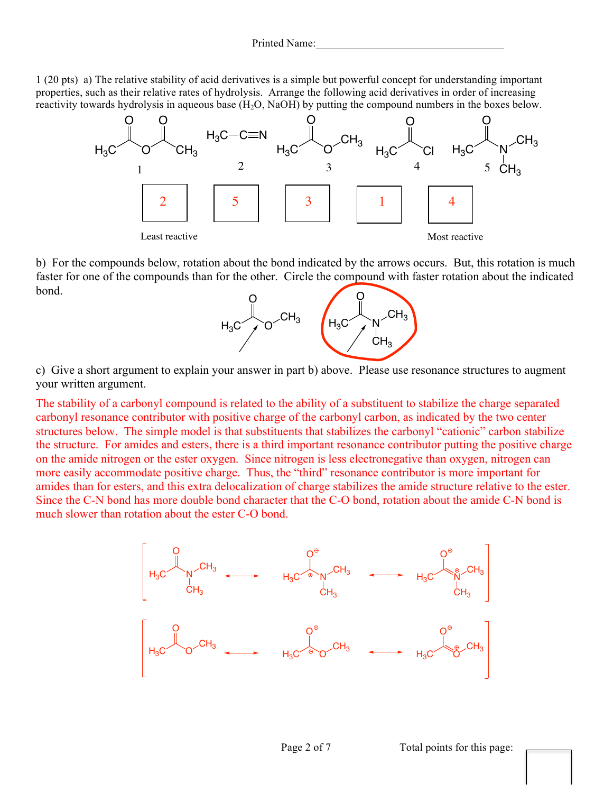1 (20 pts) a) The relative stability of acid derivatives is a simple but powerful concept for understanding important properties, such as their relative rates of hydrolysis. Arrange the following acid derivatives in order of increasing reactivity towards hydrolysis in aqueous base  $(H_2O, NaOH)$  by putting the compound numbers in the boxes below.



b) For the compounds below, rotation about the bond indicated by the arrows occurs. But, this rotation is much faster for one of the compounds than for the other. Circle the compound with faster rotation about the indicated bond.



c) Give a short argument to explain your answer in part b) above. Please use resonance structures to augment your written argument.

The stability of a carbonyl compound is related to the ability of a substituent to stabilize the charge separated carbonyl resonance contributor with positive charge of the carbonyl carbon, as indicated by the two center structures below. The simple model is that substituents that stabilizes the carbonyl "cationic" carbon stabilize the structure. For amides and esters, there is a third important resonance contributor putting the positive charge on the amide nitrogen or the ester oxygen. Since nitrogen is less electronegative than oxygen, nitrogen can more easily accommodate positive charge. Thus, the "third" resonance contributor is more important for amides than for esters, and this extra delocalization of charge stabilizes the amide structure relative to the ester. Since the C-N bond has more double bond character that the C-O bond, rotation about the amide C-N bond is much slower than rotation about the ester C-O bond.

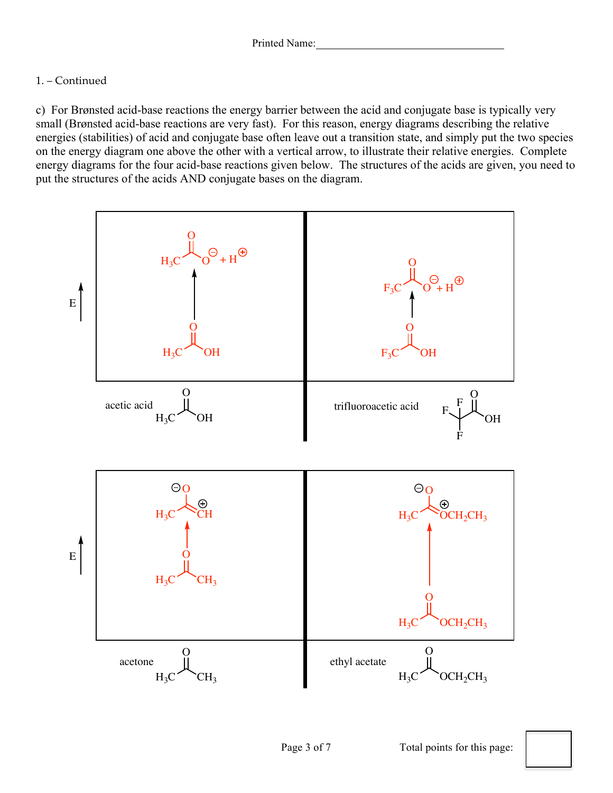## 1. – Continued

c) For Brønsted acid-base reactions the energy barrier between the acid and conjugate base is typically very small (Brønsted acid-base reactions are very fast). For this reason, energy diagrams describing the relative energies (stabilities) of acid and conjugate base often leave out a transition state, and simply put the two species on the energy diagram one above the other with a vertical arrow, to illustrate their relative energies. Complete energy diagrams for the four acid-base reactions given below. The structures of the acids are given, you need to put the structures of the acids AND conjugate bases on the diagram.

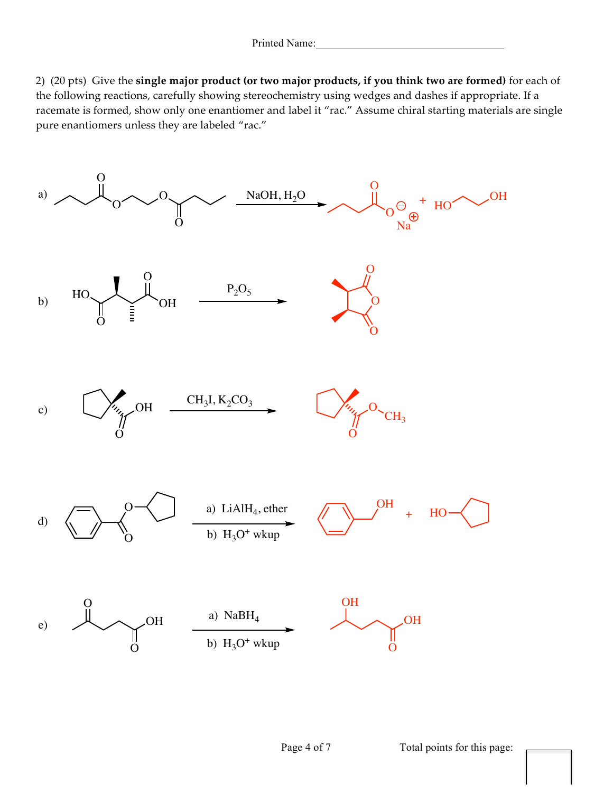2) (20 pts) Give the **single major product (or two major products, if you think two are formed)** for each of the following reactions, carefully showing stereochemistry using wedges and dashes if appropriate. If a racemate is formed, show only one enantiomer and label it "rac." Assume chiral starting materials are single pure enantiomers unless they are labeled "rac."

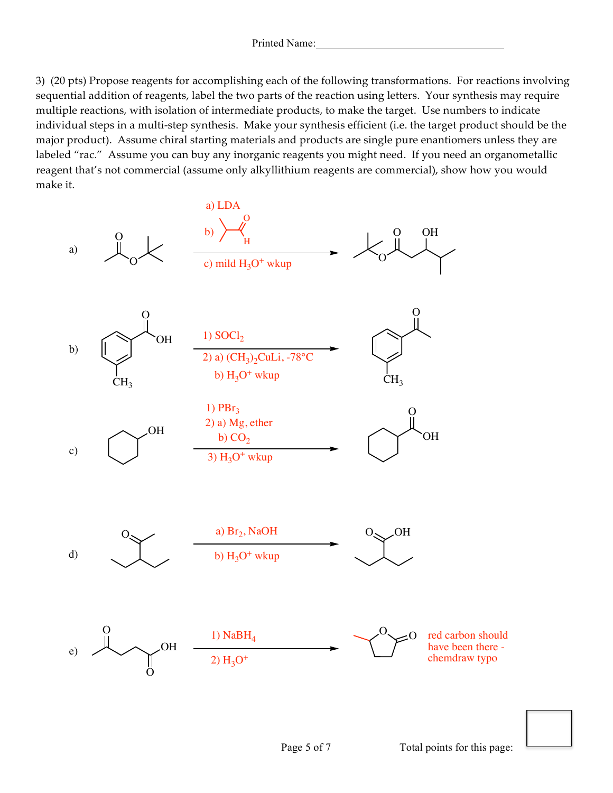3) (20 pts) Propose reagents for accomplishing each of the following transformations. For reactions involving sequential addition of reagents, label the two parts of the reaction using letters. Your synthesis may require multiple reactions, with isolation of intermediate products, to make the target. Use numbers to indicate individual steps in a multi-step synthesis. Make your synthesis efficient (i.e. the target product should be the major product). Assume chiral starting materials and products are single pure enantiomers unless they are labeled "rac." Assume you can buy any inorganic reagents you might need. If you need an organometallic reagent that's not commercial (assume only alkyllithium reagents are commercial), show how you would make it.

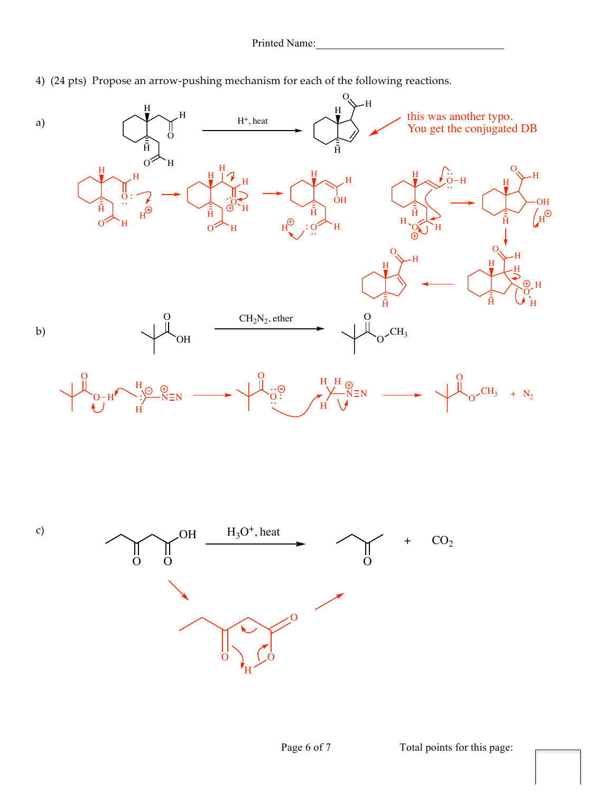